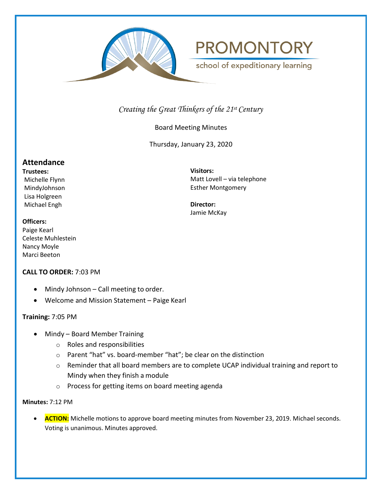



school of expeditionary learning

# *Creating the Great Thinkers of the 21st Century*

# Board Meeting Minutes

Thursday, January 23, 2020

# **Attendance**

**Trustees:** Michelle Flynn MindyJohnson Lisa Holgreen Michael Engh

**Visitors:** Matt Lovell – via telephone Esther Montgomery

**Director:** Jamie McKay

#### **Officers:**

Paige Kearl Celeste Muhlestein Nancy Moyle Marci Beeton

## **CALL TO ORDER:** 7:03 PM

- Mindy Johnson Call meeting to order.
- Welcome and Mission Statement Paige Kearl

## **Training:** 7:05 PM

- Mindy Board Member Training
	- o Roles and responsibilities
	- o Parent "hat" vs. board-member "hat"; be clear on the distinction
	- o Reminder that all board members are to complete UCAP individual training and report to Mindy when they finish a module
	- o Process for getting items on board meeting agenda

#### **Minutes:** 7:12 PM

**ACTION:** Michelle motions to approve board meeting minutes from November 23, 2019. Michael seconds. Voting is unanimous. Minutes approved.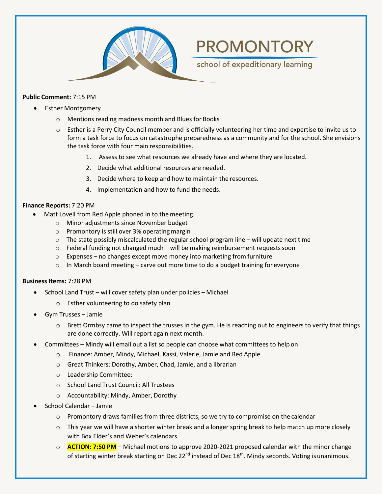

#### **Public Comment:** 7:15 PM

- Esther Montgomery
	- o Mentions reading madness month and Blues for Books
	- $\circ$  Esther is a Perry City Council member and is officially volunteering her time and expertise to invite us to form a task force to focus on catastrophe preparedness as a community and for the school. She envisions the task force with four main responsibilities.

**PROMONTORY** 

school of expeditionary learning

- 1. Assess to see what resources we already have and where they are located.
- 2. Decide what additional resources are needed.
- 3. Decide where to keep and how to maintain the resources.
- 4. Implementation and how to fund the needs.

#### **Finance Reports:** 7:20 PM

- Matt Lovell from Red Apple phoned in to the meeting.
	- o Minor adjustments since November budget
	- $\circ$  Promontory is still over 3% operating margin
	- $\circ$  The state possibly miscalculated the regular school program line will update next time
	- $\circ$  Federal funding not changed much will be making reimbursement requests soon
	- $\circ$  Expenses no changes except move money into marketing from furniture
	- $\circ$  In March board meeting carve out more time to do a budget training for everyone

#### **Business Items:** 7:28 PM

- School Land Trust will cover safety plan under policies Michael
	- o Esther volunteering to do safety plan
- Gym Trusses Jamie
	- $\circ$  Brett Ormbsy came to inspect the trusses in the gym. He is reaching out to engineers to verify that things are done correctly. Will report again next month.
- Committees Mindy will email out a list so people can choose what committees to help on
	- o Finance: Amber, Mindy, Michael, Kassi, Valerie, Jamie and Red Apple
	- o Great Thinkers: Dorothy, Amber, Chad, Jamie, and a librarian
	- o Leadership Committee:
	- o School Land Trust Council: All Trustees
	- o Accountability: Mindy, Amber, Dorothy
- School Calendar Jamie
	- $\circ$  Promontory draws families from three districts, so we try to compromise on the calendar
	- $\circ$  This year we will have a shorter winter break and a longer spring break to help match up more closely with Box Elder's and Weber's calendars
	- o **ACTION: 7:50 PM** Michael motions to approve 2020-2021 proposed calendar with the minor change of starting winter break starting on Dec  $22^{nd}$  instead of Dec  $18^{th}$ . Mindy seconds. Voting is unanimous.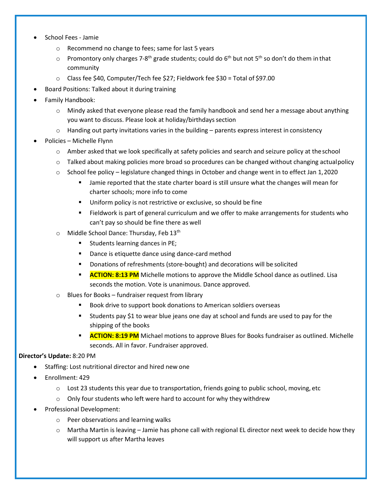- School Fees Jamie
	- o Recommend no change to fees; same for last 5 years
	- $\circ$  Promontory only charges 7-8<sup>th</sup> grade students; could do 6<sup>th</sup> but not 5<sup>th</sup> so don't do them in that community
	- o Class fee \$40, Computer/Tech fee \$27; Fieldwork fee \$30 = Total of \$97.00
- Board Positions: Talked about it during training
- Family Handbook:
	- $\circ$  Mindy asked that everyone please read the family handbook and send her a message about anything you want to discuss. Please look at holiday/birthdays section
	- $\circ$  Handing out party invitations varies in the building parents express interest in consistency
- Policies Michelle Flynn
	- o Amber asked that we look specifically at safety policies and search and seizure policy at theschool
	- $\circ$  Talked about making policies more broad so procedures can be changed without changing actual policy
	- $\circ$  School fee policy legislature changed things in October and change went in to effect Jan 1, 2020
		- Jamie reported that the state charter board is still unsure what the changes will mean for charter schools; more info to come
		- **Uniform policy is not restrictive or exclusive, so should be fine**
		- Fieldwork is part of general curriculum and we offer to make arrangements for students who can't pay so should be fine there as well
	- o Middle School Dance: Thursday, Feb 13th
		- Students learning dances in PE;
		- **Dance is etiquette dance using dance-card method**
		- **Donations of refreshments (store-bought) and decorations will be solicited**
		- **ACTION: 8:13 PM** Michelle motions to approve the Middle School dance as outlined. Lisa seconds the motion. Vote is unanimous. Dance approved.
	- o Blues for Books fundraiser request from library
		- **Book drive to support book donations to American soldiers overseas**
		- Students pay \$1 to wear blue jeans one day at school and funds are used to pay for the shipping of the books
		- **ACTION: 8:19 PM** Michael motions to approve Blues for Books fundraiser as outlined. Michelle seconds. All in favor. Fundraiser approved.

#### **Director's Update:** 8:20 PM

- Staffing: Lost nutritional director and hired new one
- Enrollment: 429
	- $\circ$  Lost 23 students this year due to transportation, friends going to public school, moving, etc
	- o Only four students who left were hard to account for why they withdrew
- Professional Development:
	- o Peer observations and learning walks
	- $\circ$  Martha Martin is leaving Jamie has phone call with regional EL director next week to decide how they will support us after Martha leaves